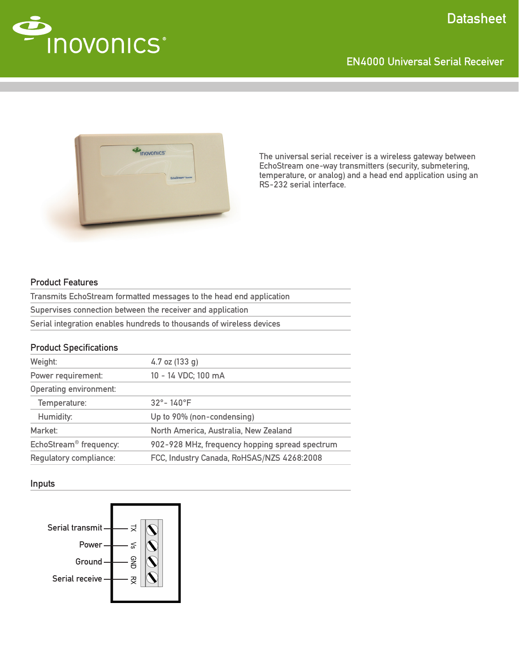



The universal serial receiver is a wireless gateway between EchoStream one-way transmitters (security, submetering, temperature, or analog) and a head end application using an RS-232 serial interface.

# Product Features

| Transmits EchoStream formatted messages to the head end application  |
|----------------------------------------------------------------------|
| Supervises connection between the receiver and application           |
| Serial integration enables hundreds to thousands of wireless devices |

# Product Specifications

| Weight:                            | 4.7 oz $(133 g)$                               |
|------------------------------------|------------------------------------------------|
| Power requirement:                 | 10 - 14 VDC; 100 mA                            |
| <b>Operating environment:</b>      |                                                |
| Temperature:                       | $32^{\circ} - 140^{\circ}$ F                   |
| Humidity:                          | Up to 90% (non-condensing)                     |
| Market:                            | North America, Australia, New Zealand          |
| EchoStream <sup>®</sup> frequency: | 902-928 MHz, frequency hopping spread spectrum |
| Regulatory compliance:             | FCC, Industry Canada, RoHSAS/NZS 4268:2008     |
|                                    |                                                |

#### Inputs